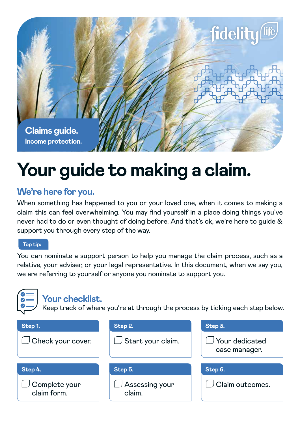

# **Your guide to making a claim.**

# **We're here for you.**

When something has happened to you or your loved one, when it comes to making a claim this can feel overwhelming. You may find yourself in a place doing things you've never had to do or even thought of doing before. And that's ok, we're here to guide & support you through every step of the way.

## **Top tip:**

You can nominate a support person to help you manage the claim process, such as a relative, your adviser, or your legal representative. In this document, when we say you, we are referring to yourself or anyone you nominate to support you.

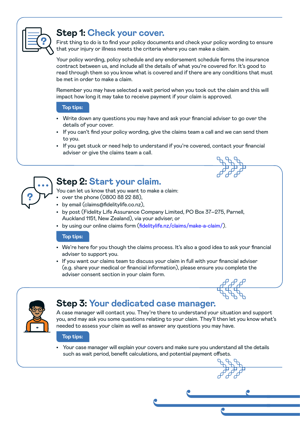

## **Step 1: Check your cover.**

First thing to do is to find your policy documents and check your policy wording to ensure that your injury or illness meets the criteria where you can make a claim.

Your policy wording, policy schedule and any endorsement schedule forms the insurance contract between us, and include all the details of what you're covered for. It's good to read through them so you know what is covered and if there are any conditions that must be met in order to make a claim.

Remember you may have selected a wait period when you took out the claim and this will impact how long it may take to receive payment if your claim is approved.

#### **Top tips:**

- Write down any questions you may have and ask your financial adviser to go over the details of your cover.
- If you can't find your policy wording, give the claims team a call and we can send them to you.
- If you get stuck or need help to understand if you're covered, contact your financial adviser or give the claims team a call.



## **Step 2: Start your claim.**

You can let us know that you want to make a claim:

- over the phone (0800 88 22 88),
- by email (claims@fidelitylife.co.nz),
- by post (Fidelity Life Assurance Company Limited, PO Box 37–275, Parnell, Auckland 1151, New Zealand), via your adviser, or
- by using our online claims form (fidelitylife.nz/claims/make-a-claim/).

### **Top tips:**

- We're here for you though the claims process. It's also a good idea to ask your financial adviser to support you.
- If you want our claims team to discuss your claim in full with your financial adviser (e.g. share your medical or financial information), please ensure you complete the adviser consent section in your claim form.



## **Step 3: Your dedicated case manager.**

A case manager will contact you. They're there to understand your situation and support you, and may ask you some questions relating to your claim. They'll then let you know what's needed to assess your claim as well as answer any questions you may have.

#### **Top tips:**

• Your case manager will explain your covers and make sure you understand all the details such as wait period, benefit calculations, and potential payment offsets.